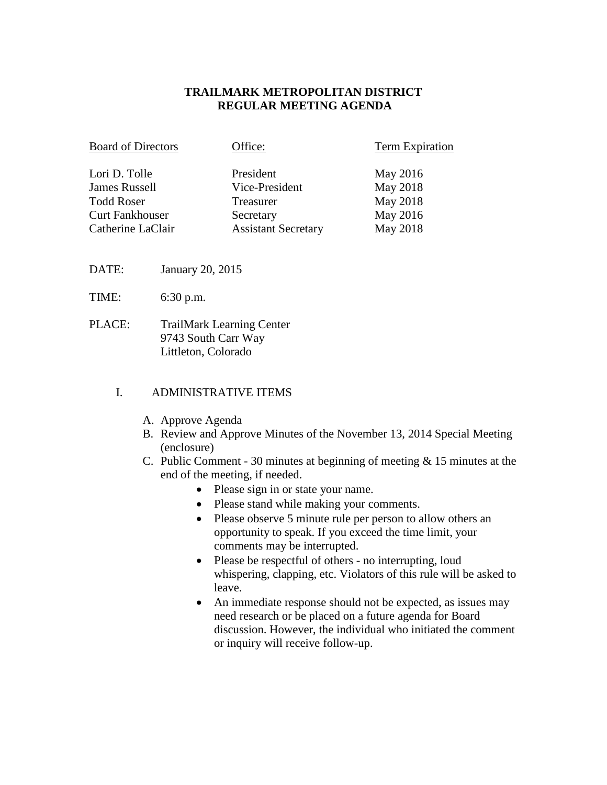## **TRAILMARK METROPOLITAN DISTRICT REGULAR MEETING AGENDA**

| <b>Board of Directors</b> | Office:                    | <b>Term Expiration</b> |
|---------------------------|----------------------------|------------------------|
| Lori D. Tolle             | President                  | May 2016               |
| <b>James Russell</b>      | Vice-President             | May 2018               |
| <b>Todd Roser</b>         | Treasurer                  | May 2018               |
| <b>Curt Fankhouser</b>    | Secretary                  | May 2016               |
| Catherine LaClair         | <b>Assistant Secretary</b> | May 2018               |

- DATE: January 20, 2015
- TIME: 6:30 p.m.
- PLACE: TrailMark Learning Center 9743 South Carr Way Littleton, Colorado

#### I. ADMINISTRATIVE ITEMS

- A. Approve Agenda
- B. Review and Approve Minutes of the November 13, 2014 Special Meeting (enclosure)
- C. Public Comment 30 minutes at beginning of meeting & 15 minutes at the end of the meeting, if needed.
	- Please sign in or state your name.
	- Please stand while making your comments.
	- Please observe 5 minute rule per person to allow others an opportunity to speak. If you exceed the time limit, your comments may be interrupted.
	- Please be respectful of others no interrupting, loud whispering, clapping, etc. Violators of this rule will be asked to leave.
	- An immediate response should not be expected, as issues may need research or be placed on a future agenda for Board discussion. However, the individual who initiated the comment or inquiry will receive follow-up.